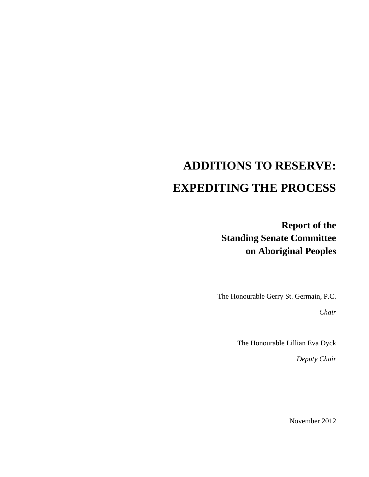# **ADDITIONS TO RESERVE: EXPEDITING THE PROCESS**

**Report of the Standing Senate Committee on Aboriginal Peoples** 

The Honourable Gerry St. Germain, P.C.

*Chair* 

The Honourable Lillian Eva Dyck

*Deputy Chair* 

November 2012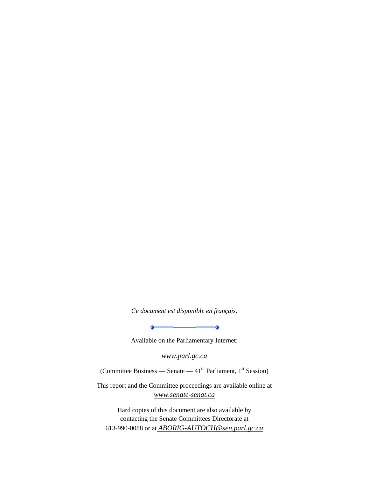*Ce document est disponible en français.* 

 $\overline{\phantom{a}}$   $\overline{\phantom{a}}$   $\overline{\phantom{a}}$   $\overline{\phantom{a}}$ 

Available on the Parliamentary Internet:

 $\bullet$ 

*www.parl.gc.ca*

(Committee Business — Senate —  $41<sup>th</sup>$  Parliament,  $1<sup>st</sup>$  Session)

This report and the Committee proceedings are available online at *www.senate-senat.ca*

Hard copies of this document are also available by contacting the Senate Committees Directorate at 613-990-0088 or at *ABORIG-AUTOCH@sen.parl.gc.ca*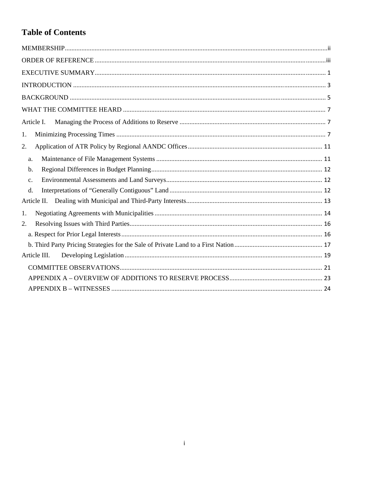# **Table of Contents**

| Article I.     |
|----------------|
| 1.             |
| 2.             |
| a.             |
| $b$ .          |
| C <sub>1</sub> |
| d.             |
| Article II.    |
| 1.             |
| 2.             |
|                |
|                |
| Article III.   |
|                |
|                |
|                |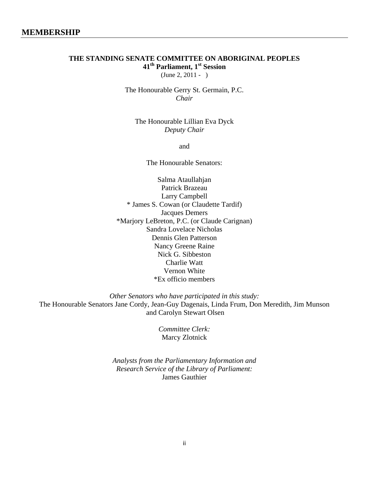# **THE STANDING SENATE COMMITTEE ON ABORIGINAL PEOPLES 41th Parliament, 1st Session**

 $(June 2, 2011 - )$ 

The Honourable Gerry St. Germain, P.C. *Chair* 

The Honourable Lillian Eva Dyck *Deputy Chair* 

and

The Honourable Senators:

Salma Ataullahjan Patrick Brazeau Larry Campbell \* James S. Cowan (or Claudette Tardif) Jacques Demers \*Marjory LeBreton, P.C. (or Claude Carignan) Sandra Lovelace Nicholas Dennis Glen Patterson Nancy Greene Raine Nick G. Sibbeston Charlie Watt Vernon White \*Ex officio members

*Other Senators who have participated in this study:* 

The Honourable Senators Jane Cordy, Jean-Guy Dagenais, Linda Frum, Don Meredith, Jim Munson and Carolyn Stewart Olsen

> *Committee Clerk:*  Marcy Zlotnick

*Analysts from the Parliamentary Information and Research Service of the Library of Parliament:*  James Gauthier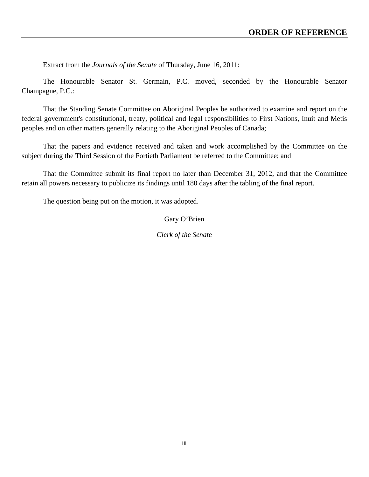Extract from the *Journals of the Senate* of Thursday, June 16, 2011:

The Honourable Senator St. Germain, P.C. moved, seconded by the Honourable Senator Champagne, P.C.:

That the Standing Senate Committee on Aboriginal Peoples be authorized to examine and report on the federal government's constitutional, treaty, political and legal responsibilities to First Nations, Inuit and Metis peoples and on other matters generally relating to the Aboriginal Peoples of Canada;

That the papers and evidence received and taken and work accomplished by the Committee on the subject during the Third Session of the Fortieth Parliament be referred to the Committee; and

That the Committee submit its final report no later than December 31, 2012, and that the Committee retain all powers necessary to publicize its findings until 180 days after the tabling of the final report.

The question being put on the motion, it was adopted.

## Gary O'Brien

*Clerk of the Senate*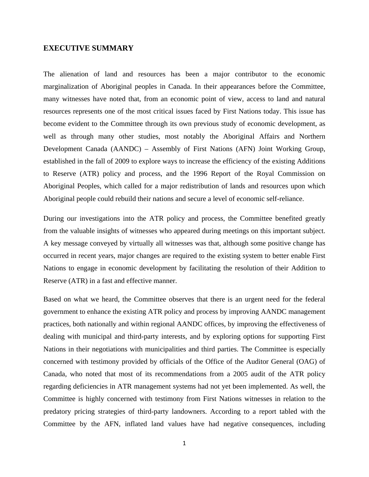#### **EXECUTIVE SUMMARY**

The alienation of land and resources has been a major contributor to the economic marginalization of Aboriginal peoples in Canada. In their appearances before the Committee, many witnesses have noted that, from an economic point of view, access to land and natural resources represents one of the most critical issues faced by First Nations today. This issue has become evident to the Committee through its own previous study of economic development, as well as through many other studies, most notably the Aboriginal Affairs and Northern Development Canada (AANDC) – Assembly of First Nations (AFN) Joint Working Group, established in the fall of 2009 to explore ways to increase the efficiency of the existing Additions to Reserve (ATR) policy and process, and the 1996 Report of the Royal Commission on Aboriginal Peoples, which called for a major redistribution of lands and resources upon which Aboriginal people could rebuild their nations and secure a level of economic self-reliance.

During our investigations into the ATR policy and process, the Committee benefited greatly from the valuable insights of witnesses who appeared during meetings on this important subject. A key message conveyed by virtually all witnesses was that, although some positive change has occurred in recent years, major changes are required to the existing system to better enable First Nations to engage in economic development by facilitating the resolution of their Addition to Reserve (ATR) in a fast and effective manner.

Based on what we heard, the Committee observes that there is an urgent need for the federal government to enhance the existing ATR policy and process by improving AANDC management practices, both nationally and within regional AANDC offices, by improving the effectiveness of dealing with municipal and third-party interests, and by exploring options for supporting First Nations in their negotiations with municipalities and third parties. The Committee is especially concerned with testimony provided by officials of the Office of the Auditor General (OAG) of Canada, who noted that most of its recommendations from a 2005 audit of the ATR policy regarding deficiencies in ATR management systems had not yet been implemented. As well, the Committee is highly concerned with testimony from First Nations witnesses in relation to the predatory pricing strategies of third-party landowners. According to a report tabled with the Committee by the AFN, inflated land values have had negative consequences, including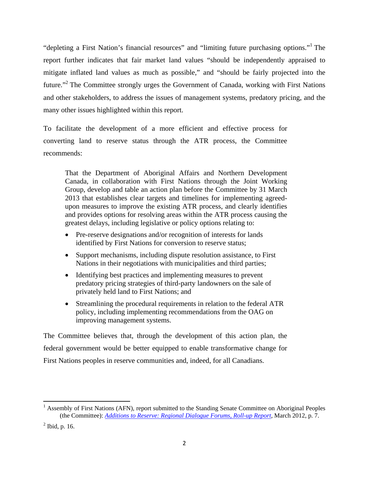"depleting a First Nation's financial resources" and "limiting future purchasing options."<sup>1</sup> The report further indicates that fair market land values "should be independently appraised to mitigate inflated land values as much as possible," and "should be fairly projected into the future."<sup>2</sup> The Committee strongly urges the Government of Canada, working with First Nations and other stakeholders, to address the issues of management systems, predatory pricing, and the many other issues highlighted within this report.

To facilitate the development of a more efficient and effective process for converting land to reserve status through the ATR process, the Committee recommends:

That the Department of Aboriginal Affairs and Northern Development Canada, in collaboration with First Nations through the Joint Working Group, develop and table an action plan before the Committee by 31 March 2013 that establishes clear targets and timelines for implementing agreedupon measures to improve the existing ATR process, and clearly identifies and provides options for resolving areas within the ATR process causing the greatest delays, including legislative or policy options relating to:

- Pre-reserve designations and/or recognition of interests for lands identified by First Nations for conversion to reserve status;
- Support mechanisms, including dispute resolution assistance, to First Nations in their negotiations with municipalities and third parties;
- Identifying best practices and implementing measures to prevent predatory pricing strategies of third-party landowners on the sale of privately held land to First Nations; and
- Streamlining the procedural requirements in relation to the federal ATR policy, including implementing recommendations from the OAG on improving management systems.

The Committee believes that, through the development of this action plan, the federal government would be better equipped to enable transformative change for First Nations peoples in reserve communities and, indeed, for all Canadians.

<sup>&</sup>lt;sup>1</sup> Assembly of First Nations (AFN), report submitted to the Standing Senate Committee on Aboriginal Peoples (the Committee): *Additions to Reserve: Regional Dialogue Forums, Roll-up Report*, March 2012, p. 7.

 $<sup>2</sup>$  Ibid, p. 16.</sup>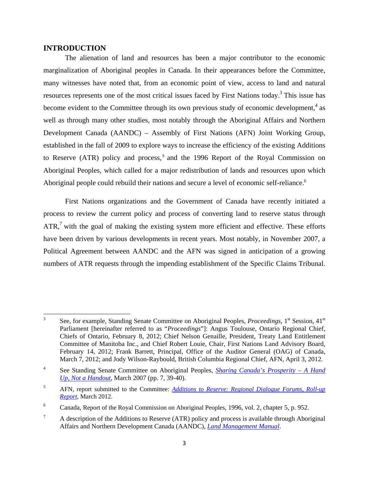#### **INTRODUCTION**

 The alienation of land and resources has been a major contributor to the economic marginalization of Aboriginal peoples in Canada. In their appearances before the Committee, many witnesses have noted that, from an economic point of view, access to land and natural resources represents one of the most critical issues faced by First Nations today.<sup>3</sup> This issue has become evident to the Committee through its own previous study of economic development, $4$  as well as through many other studies, most notably through the Aboriginal Affairs and Northern Development Canada (AANDC) – Assembly of First Nations (AFN) Joint Working Group, established in the fall of 2009 to explore ways to increase the efficiency of the existing Additions to Reserve (ATR) policy and process,<sup>5</sup> and the 1996 Report of the Royal Commission on Aboriginal Peoples, which called for a major redistribution of lands and resources upon which Aboriginal people could rebuild their nations and secure a level of economic self-reliance.<sup>6</sup>

 First Nations organizations and the Government of Canada have recently initiated a process to review the current policy and process of converting land to reserve status through  $ATR$ ,<sup>7</sup> with the goal of making the existing system more efficient and effective. These efforts have been driven by various developments in recent years. Most notably, in November 2007, a Political Agreement between AANDC and the AFN was signed in anticipation of a growing numbers of ATR requests through the impending establishment of the Specific Claims Tribunal.

<sup>&</sup>lt;sup>3</sup> See, for example, Standing Senate Committee on Aboriginal Peoples, *Proceedings*, 1<sup>st</sup> Session, 41<sup>st</sup> Parliament [hereinafter referred to as "*Proceedings*"]: Angus Toulouse, Ontario Regional Chief, Chiefs of Ontario, February 8, 2012; Chief Nelson Genaille, President, Treaty Land Entitlement Committee of Manitoba Inc., and Chief Robert Louie, Chair, First Nations Land Advisory Board, February 14, 2012; Frank Barrett, Principal, Office of the Auditor General (OAG) of Canada, March 7, 2012; and Jody Wilson-Raybould, British Columbia Regional Chief, AFN, April 3, 2012.

<sup>4</sup> See Standing Senate Committee on Aboriginal Peoples, *Sharing Canada's Prosperity – A Hand Up, Not a Handout*, March 2007 (pp. 7, 39-40).

<sup>5</sup> AFN, report submitted to the Committee: *Additions to Reserve: Regional Dialogue Forums, Roll-up Report*, March 2012.

<sup>6</sup> Canada, Report of the Royal Commission on Aboriginal Peoples, 1996, vol. 2, chapter 5, p. 952.

<sup>7</sup> A description of the Additions to Reserve (ATR) policy and process is available through Aboriginal Affairs and Northern Development Canada (AANDC), *Land Management Manual*.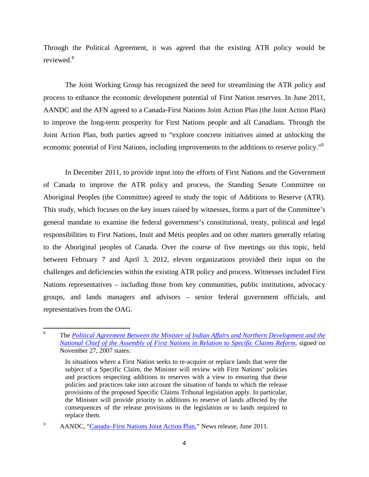Through the Political Agreement, it was agreed that the existing ATR policy would be reviewed.<sup>8</sup>

 The Joint Working Group has recognized the need for streamlining the ATR policy and process to enhance the economic development potential of First Nation reserves. In June 2011, AANDC and the AFN agreed to a Canada-First Nations Joint Action Plan (the Joint Action Plan) to improve the long-term prosperity for First Nations people and all Canadians. Through the Joint Action Plan, both parties agreed to "explore concrete initiatives aimed at unlocking the economic potential of First Nations, including improvements to the additions to reserve policy."<sup>9</sup>

 In December 2011, to provide input into the efforts of First Nations and the Government of Canada to improve the ATR policy and process, the Standing Senate Committee on Aboriginal Peoples (the Committee) agreed to study the topic of Additions to Reserve (ATR). This study, which focuses on the key issues raised by witnesses, forms a part of the Committee's general mandate to examine the federal government's constitutional, treaty, political and legal responsibilities to First Nations, Inuit and Métis peoples and on other matters generally relating to the Aboriginal peoples of Canada. Over the course of five meetings on this topic, held between February 7 and April 3, 2012, eleven organizations provided their input on the challenges and deficiencies within the existing ATR policy and process. Witnesses included First Nations representatives – including those from key communities, public institutions, advocacy groups, and lands managers and advisors – senior federal government officials, and representatives from the OAG.

<sup>8</sup> The *Political Agreement Between the Minister of Indian Affairs and Northern Development and the National Chief of the Assembly of First Nations in Relation to Specific Claims Reform*, signed on November 27, 2007 states:

In situations where a First Nation seeks to re-acquire or replace lands that were the subject of a Specific Claim, the Minister will review with First Nations' policies and practices respecting additions to reserves with a view to ensuring that these policies and practices take into account the situation of bands to which the release provisions of the proposed Specific Claims Tribunal legislation apply. In particular, the Minister will provide priority to additions to reserve of lands affected by the consequences of the release provisions in the legislation or to lands required to replace them.

<sup>&</sup>lt;sup>9</sup> AANDC, "Canada–First Nations Joint Action Plan," News release, June 2011.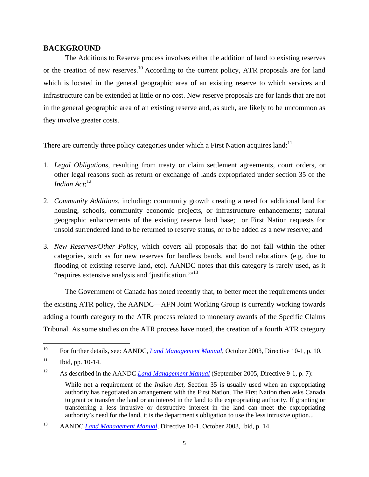### **BACKGROUND**

 The Additions to Reserve process involves either the addition of land to existing reserves or the creation of new reserves.<sup>10</sup> According to the current policy, ATR proposals are for land which is located in the general geographic area of an existing reserve to which services and infrastructure can be extended at little or no cost. New reserve proposals are for lands that are not in the general geographic area of an existing reserve and, as such, are likely to be uncommon as they involve greater costs.

There are currently three policy categories under which a First Nation acquires land:<sup>11</sup>

- 1. *Legal Obligations*, resulting from treaty or claim settlement agreements, court orders, or other legal reasons such as return or exchange of lands expropriated under section 35 of the *Indian Act*; 12
- 2. *Community Additions*, including: community growth creating a need for additional land for housing, schools, community economic projects, or infrastructure enhancements; natural geographic enhancements of the existing reserve land base; or First Nation requests for unsold surrendered land to be returned to reserve status, or to be added as a new reserve; and
- 3. *New Reserves/Other Policy*, which covers all proposals that do not fall within the other categories, such as for new reserves for landless bands, and band relocations (e.g. due to flooding of existing reserve land, etc). AANDC notes that this category is rarely used, as it "requires extensive analysis and 'justification."<sup>13</sup>

 The Government of Canada has noted recently that, to better meet the requirements under the existing ATR policy, the AANDC—AFN Joint Working Group is currently working towards adding a fourth category to the ATR process related to monetary awards of the Specific Claims Tribunal. As some studies on the ATR process have noted, the creation of a fourth ATR category

<sup>&</sup>lt;sup>10</sup> For further details, see: AANDC, *Land Management Manual*, October 2003, Directive 10-1, p. 10.

 $11$  Ibid, pp. 10-14.

<sup>&</sup>lt;sup>12</sup> As described in the AANDC *Land Management Manual* (September 2005, Directive 9-1, p. 7):

While not a requirement of the *Indian Act*, Section 35 is usually used when an expropriating authority has negotiated an arrangement with the First Nation. The First Nation then asks Canada to grant or transfer the land or an interest in the land to the expropriating authority. If granting or transferring a less intrusive or destructive interest in the land can meet the expropriating authority's need for the land, it is the department's obligation to use the less intrusive option...

<sup>13</sup> AANDC *Land Management Manual*, Directive 10-1, October 2003, Ibid, p. 14.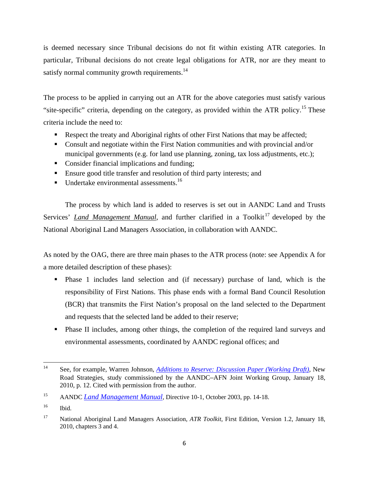is deemed necessary since Tribunal decisions do not fit within existing ATR categories. In particular, Tribunal decisions do not create legal obligations for ATR, nor are they meant to satisfy normal community growth requirements.<sup>14</sup>

The process to be applied in carrying out an ATR for the above categories must satisfy various "site-specific" criteria, depending on the category, as provided within the ATR policy.<sup>15</sup> These criteria include the need to:

- Respect the treaty and Aboriginal rights of other First Nations that may be affected;
- Consult and negotiate within the First Nation communities and with provincial and/or municipal governments (e.g. for land use planning, zoning, tax loss adjustments, etc.);
- Consider financial implications and funding;
- Ensure good title transfer and resolution of third party interests; and
- $\blacksquare$  Undertake environmental assessments.<sup>16</sup>

 The process by which land is added to reserves is set out in AANDC Land and Trusts Services' *Land Management Manual*, and further clarified in a Toolkit<sup>17</sup> developed by the National Aboriginal Land Managers Association, in collaboration with AANDC.

As noted by the OAG, there are three main phases to the ATR process (note: see Appendix A for a more detailed description of these phases):

- Phase 1 includes land selection and (if necessary) purchase of land, which is the responsibility of First Nations. This phase ends with a formal Band Council Resolution (BCR) that transmits the First Nation's proposal on the land selected to the Department and requests that the selected land be added to their reserve;
- Phase II includes, among other things, the completion of the required land surveys and environmental assessments, coordinated by AANDC regional offices; and

 14 See, for example, Warren Johnson, *Additions to Reserve: Discussion Paper (Working Draft)*, New Road Strategies, study commissioned by the AANDC–AFN Joint Working Group, January 18, 2010, p. 12. Cited with permission from the author.

<sup>15</sup> AANDC *Land Management Manual*, Directive 10-1, October 2003, pp. 14-18.

<sup>16</sup> Ibid.

<sup>17</sup> National Aboriginal Land Managers Association, *ATR Toolkit*, First Edition, Version 1.2, January 18, 2010, chapters 3 and 4.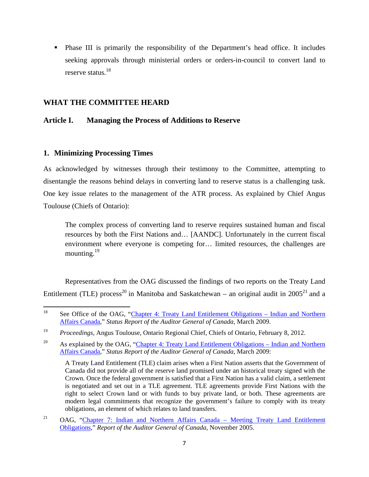Phase III is primarily the responsibility of the Department's head office. It includes seeking approvals through ministerial orders or orders-in-council to convert land to reserve status.<sup>18</sup>

# **WHAT THE COMMITTEE HEARD**

# **Article I. Managing the Process of Additions to Reserve**

## **1. Minimizing Processing Times**

As acknowledged by witnesses through their testimony to the Committee, attempting to disentangle the reasons behind delays in converting land to reserve status is a challenging task. One key issue relates to the management of the ATR process. As explained by Chief Angus Toulouse (Chiefs of Ontario):

The complex process of converting land to reserve requires sustained human and fiscal resources by both the First Nations and… [AANDC]. Unfortunately in the current fiscal environment where everyone is competing for… limited resources, the challenges are mounting. $19$ 

 Representatives from the OAG discussed the findings of two reports on the Treaty Land Entitlement (TLE) process<sup>20</sup> in Manitoba and Saskatchewan – an original audit in  $2005^{21}$  and a

<sup>&</sup>lt;sup>18</sup> See Office of the OAG, "Chapter 4: Treaty Land Entitlement Obligations – Indian and Northern Affairs Canada," *Status Report of the Auditor General of Canada*, March 2009.

<sup>19</sup> *Proceedings*, Angus Toulouse, Ontario Regional Chief, Chiefs of Ontario, February 8, 2012.

<sup>&</sup>lt;sup>20</sup> As explained by the OAG, "Chapter 4: Treaty Land Entitlement Obligations – Indian and Northern Affairs Canada," *Status Report of the Auditor General of Canada*, March 2009:

A Treaty Land Entitlement (TLE) claim arises when a First Nation asserts that the Government of Canada did not provide all of the reserve land promised under an historical treaty signed with the Crown. Once the federal government is satisfied that a First Nation has a valid claim, a settlement is negotiated and set out in a TLE agreement. TLE agreements provide First Nations with the right to select Crown land or with funds to buy private land, or both. These agreements are modern legal commitments that recognize the government's failure to comply with its treaty obligations, an element of which relates to land transfers.

<sup>&</sup>lt;sup>21</sup> OAG, "Chapter 7: Indian and Northern Affairs Canada – Meeting Treaty Land Entitlement Obligations," *Report of the Auditor General of Canada*, November 2005.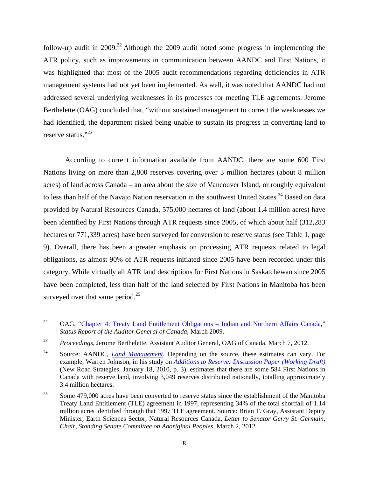follow-up audit in 2009.<sup>22</sup> Although the 2009 audit noted some progress in implementing the ATR policy, such as improvements in communication between AANDC and First Nations, it was highlighted that most of the 2005 audit recommendations regarding deficiencies in ATR management systems had not yet been implemented. As well, it was noted that AANDC had not addressed several underlying weaknesses in its processes for meeting TLE agreements. Jerome Berthelette (OAG) concluded that, "without sustained management to correct the weaknesses we had identified, the department risked being unable to sustain its progress in converting land to reserve status."<sup>23</sup>

 According to current information available from AANDC, there are some 600 First Nations living on more than 2,800 reserves covering over 3 million hectares (about 8 million acres) of land across Canada – an area about the size of Vancouver Island, or roughly equivalent to less than half of the Navajo Nation reservation in the southwest United States.<sup>24</sup> Based on data provided by Natural Resources Canada, 575,000 hectares of land (about 1.4 million acres) have been identified by First Nations through ATR requests since 2005, of which about half (312,283 hectares or 771,339 acres) have been surveyed for conversion to reserve status (see Table 1, page 9). Overall, there has been a greater emphasis on processing ATR requests related to legal obligations, as almost 90% of ATR requests initiated since 2005 have been recorded under this category. While virtually all ATR land descriptions for First Nations in Saskatchewan since 2005 have been completed, less than half of the land selected by First Nations in Manitoba has been surveyed over that same period. $25$ 

<sup>&</sup>lt;sup>22</sup> OAG, "Chapter 4: Treaty Land Entitlement Obligations – Indian and Northern Affairs Canada," *Status Report of the Auditor General of Canada*, March 2009.

<sup>23</sup>*Proceedings*, Jerome Berthelette, Assistant Auditor General, OAG of Canada, March 7, 2012.

<sup>24</sup> Source: AANDC, *Land Management*. Depending on the source, these estimates can vary. For example, Warren Johnson, in his study on *Additions to Reserve: Discussion Paper (Working Draft)* (New Road Strategies, January 18, 2010, p. 3), estimates that there are some 584 First Nations in Canada with reserve land, involving 3,049 reserves distributed nationally, totalling approximately 3.4 million hectares.

<sup>&</sup>lt;sup>25</sup> Some 479,000 acres have been converted to reserve status since the establishment of the Manitoba Treaty Land Entitlement (TLE) agreement in 1997; representing 34% of the total shortfall of 1.14 million acres identified through that 1997 TLE agreement. Source: Brian T. Gray, Assistant Deputy Minister, Earth Sciences Sector, Natural Resources Canada, *Letter to Senator Gerry St. Germain, Chair, Standing Senate Committee on Aboriginal Peoples*, March 2, 2012.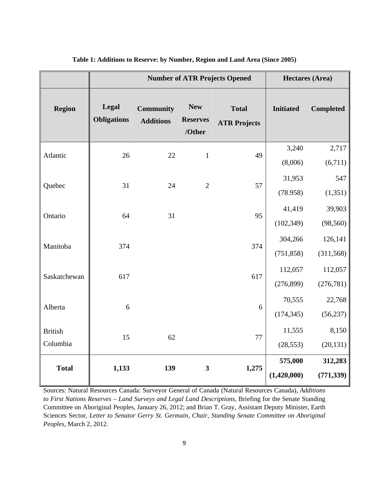|                            |                             | <b>Number of ATR Projects Opened</b> |                                         | <b>Hectares (Area)</b>              |                        |                       |
|----------------------------|-----------------------------|--------------------------------------|-----------------------------------------|-------------------------------------|------------------------|-----------------------|
| <b>Region</b>              | Legal<br><b>Obligations</b> | <b>Community</b><br><b>Additions</b> | <b>New</b><br><b>Reserves</b><br>/Other | <b>Total</b><br><b>ATR Projects</b> | <b>Initiated</b>       | <b>Completed</b>      |
| Atlantic                   | 26                          | 22                                   | $\mathbf 1$                             | 49                                  | 3,240<br>(8,006)       | 2,717<br>(6,711)      |
| Quebec                     | 31                          | 24                                   | $\mathbf{2}$                            | 57                                  | 31,953<br>(78.958)     | 547<br>(1, 351)       |
| Ontario                    | 64                          | 31                                   |                                         | 95                                  | 41,419<br>(102, 349)   | 39,903<br>(98, 560)   |
| Manitoba                   | 374                         |                                      |                                         | 374                                 | 304,266<br>(751, 858)  | 126,141<br>(311, 568) |
| Saskatchewan               | 617                         |                                      |                                         | 617                                 | 112,057<br>(276, 899)  | 112,057<br>(276, 781) |
| Alberta                    | 6                           |                                      |                                         | 6                                   | 70,555<br>(174, 345)   | 22,768<br>(56, 237)   |
| <b>British</b><br>Columbia | 15                          | 62                                   |                                         | 77                                  | 11,555<br>(28, 553)    | 8,150<br>(20, 131)    |
| <b>Total</b>               | 1,133                       | 139                                  | $\mathbf{3}$                            | 1,275                               | 575,000<br>(1,420,000) | 312,283<br>(771, 339) |

#### **Table 1: Additions to Reserve: by Number, Region and Land Area (Since 2005)**

Sources: Natural Resources Canada: Surveyor General of Canada (Natural Resources Canada), *Additions to First Nations Reserves – Land Surveys and Legal Land Descriptions*, Briefing for the Senate Standing Committee on Aboriginal Peoples, January 26, 2012; and Brian T. Gray, Assistant Deputy Minister, Earth Sciences Sector, *Letter to Senator Gerry St. Germain, Chair, Standing Senate Committee on Aboriginal Peoples*, March 2, 2012.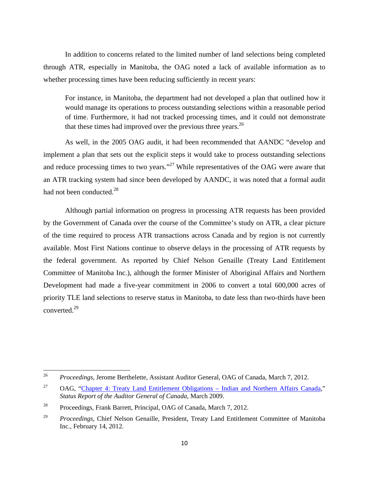In addition to concerns related to the limited number of land selections being completed through ATR, especially in Manitoba, the OAG noted a lack of available information as to whether processing times have been reducing sufficiently in recent years:

For instance, in Manitoba, the department had not developed a plan that outlined how it would manage its operations to process outstanding selections within a reasonable period of time. Furthermore, it had not tracked processing times, and it could not demonstrate that these times had improved over the previous three years. $^{26}$ 

 As well, in the 2005 OAG audit, it had been recommended that AANDC "develop and implement a plan that sets out the explicit steps it would take to process outstanding selections and reduce processing times to two years."<sup>27</sup> While representatives of the OAG were aware that an ATR tracking system had since been developed by AANDC, it was noted that a formal audit had not been conducted.<sup>28</sup>

 Although partial information on progress in processing ATR requests has been provided by the Government of Canada over the course of the Committee's study on ATR, a clear picture of the time required to process ATR transactions across Canada and by region is not currently available. Most First Nations continue to observe delays in the processing of ATR requests by the federal government. As reported by Chief Nelson Genaille (Treaty Land Entitlement Committee of Manitoba Inc.), although the former Minister of Aboriginal Affairs and Northern Development had made a five-year commitment in 2006 to convert a total 600,000 acres of priority TLE land selections to reserve status in Manitoba, to date less than two-thirds have been converted.29

<sup>26</sup> *Proceedings*, Jerome Berthelette, Assistant Auditor General, OAG of Canada, March 7, 2012.

 $27$  OAG, "Chapter 4: Treaty Land Entitlement Obligations – Indian and Northern Affairs Canada," *Status Report of the Auditor General of Canada*, March 2009.

<sup>&</sup>lt;sup>28</sup> Proceedings, Frank Barrett, Principal, OAG of Canada, March 7, 2012.

<sup>29</sup> *Proceedings*, Chief Nelson Genaille, President, Treaty Land Entitlement Committee of Manitoba Inc., February 14, 2012.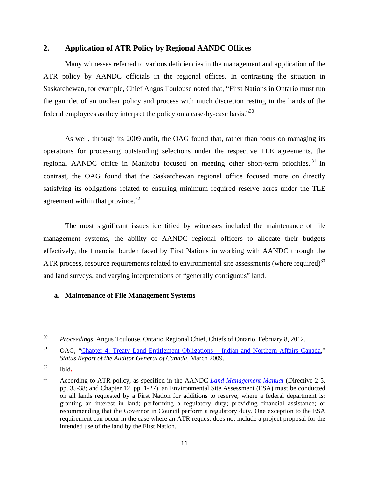#### **2. Application of ATR Policy by Regional AANDC Offices**

 Many witnesses referred to various deficiencies in the management and application of the ATR policy by AANDC officials in the regional offices. In contrasting the situation in Saskatchewan, for example, Chief Angus Toulouse noted that, "First Nations in Ontario must run the gauntlet of an unclear policy and process with much discretion resting in the hands of the federal employees as they interpret the policy on a case-by-case basis."30

 As well, through its 2009 audit, the OAG found that, rather than focus on managing its operations for processing outstanding selections under the respective TLE agreements, the regional AANDC office in Manitoba focused on meeting other short-term priorities.<sup>31</sup> In contrast, the OAG found that the Saskatchewan regional office focused more on directly satisfying its obligations related to ensuring minimum required reserve acres under the TLE agreement within that province. $32$ 

 The most significant issues identified by witnesses included the maintenance of file management systems, the ability of AANDC regional officers to allocate their budgets effectively, the financial burden faced by First Nations in working with AANDC through the ATR process, resource requirements related to environmental site assessments (where required)<sup>33</sup> and land surveys, and varying interpretations of "generally contiguous" land.

#### **a. Maintenance of File Management Systems**

<sup>30</sup> *Proceedings*, Angus Toulouse, Ontario Regional Chief, Chiefs of Ontario, February 8, 2012.

<sup>&</sup>lt;sup>31</sup> OAG, "Chapter 4: Treaty Land Entitlement Obligations – Indian and Northern Affairs Canada," *Status Report of the Auditor General of Canada*, March 2009.

<sup>32</sup> Ibid**.**

<sup>33</sup> According to ATR policy, as specified in the AANDC *Land Management Manual* (Directive 2-5, pp. 35-38; and Chapter 12, pp. 1-27), an Environmental Site Assessment (ESA) must be conducted on all lands requested by a First Nation for additions to reserve, where a federal department is: granting an interest in land; performing a regulatory duty; providing financial assistance; or recommending that the Governor in Council perform a regulatory duty. One exception to the ESA requirement can occur in the case where an ATR request does not include a project proposal for the intended use of the land by the First Nation.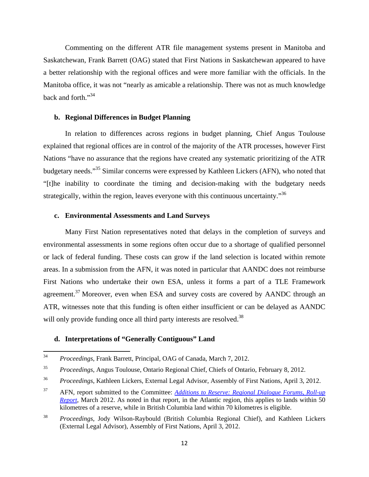Commenting on the different ATR file management systems present in Manitoba and Saskatchewan, Frank Barrett (OAG) stated that First Nations in Saskatchewan appeared to have a better relationship with the regional offices and were more familiar with the officials. In the Manitoba office, it was not "nearly as amicable a relationship. There was not as much knowledge back and forth."34

#### **b. Regional Differences in Budget Planning**

 In relation to differences across regions in budget planning, Chief Angus Toulouse explained that regional offices are in control of the majority of the ATR processes, however First Nations "have no assurance that the regions have created any systematic prioritizing of the ATR budgetary needs."35 Similar concerns were expressed by Kathleen Lickers (AFN), who noted that "[t]he inability to coordinate the timing and decision-making with the budgetary needs strategically, within the region, leaves everyone with this continuous uncertainty."<sup>36</sup>

#### **c. Environmental Assessments and Land Surveys**

 Many First Nation representatives noted that delays in the completion of surveys and environmental assessments in some regions often occur due to a shortage of qualified personnel or lack of federal funding. These costs can grow if the land selection is located within remote areas. In a submission from the AFN, it was noted in particular that AANDC does not reimburse First Nations who undertake their own ESA, unless it forms a part of a TLE Framework agreement.<sup>37</sup> Moreover, even when ESA and survey costs are covered by AANDC through an ATR, witnesses note that this funding is often either insufficient or can be delayed as AANDC will only provide funding once all third party interests are resolved.<sup>38</sup>

#### **d. Interpretations of "Generally Contiguous" Land**

<sup>34</sup> *Proceedings*, Frank Barrett, Principal, OAG of Canada, March 7, 2012.

<sup>35</sup> *Proceedings*, Angus Toulouse, Ontario Regional Chief, Chiefs of Ontario, February 8, 2012.

<sup>36</sup>*Proceedings*, Kathleen Lickers, External Legal Advisor, Assembly of First Nations, April 3, 2012.

<sup>37</sup> AFN, report submitted to the Committee: *Additions to Reserve: Regional Dialogue Forums, Roll-up Report*, March 2012. As noted in that report, in the Atlantic region, this applies to lands within 50 kilometres of a reserve, while in British Columbia land within 70 kilometres is eligible.

<sup>38</sup> *Proceedings*, Jody Wilson-Raybould (British Columbia Regional Chief), and Kathleen Lickers (External Legal Advisor), Assembly of First Nations, April 3, 2012.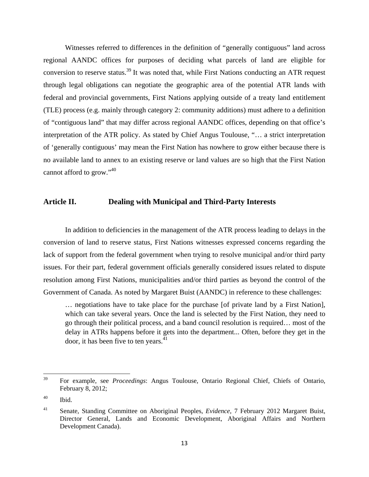Witnesses referred to differences in the definition of "generally contiguous" land across regional AANDC offices for purposes of deciding what parcels of land are eligible for conversion to reserve status.<sup>39</sup> It was noted that, while First Nations conducting an ATR request through legal obligations can negotiate the geographic area of the potential ATR lands with federal and provincial governments, First Nations applying outside of a treaty land entitlement (TLE) process (e.g. mainly through category 2: community additions) must adhere to a definition of "contiguous land" that may differ across regional AANDC offices, depending on that office's interpretation of the ATR policy. As stated by Chief Angus Toulouse, "… a strict interpretation of 'generally contiguous' may mean the First Nation has nowhere to grow either because there is no available land to annex to an existing reserve or land values are so high that the First Nation cannot afford to grow."40

#### **Article II. Dealing with Municipal and Third-Party Interests**

In addition to deficiencies in the management of the ATR process leading to delays in the conversion of land to reserve status, First Nations witnesses expressed concerns regarding the lack of support from the federal government when trying to resolve municipal and/or third party issues. For their part, federal government officials generally considered issues related to dispute resolution among First Nations, municipalities and/or third parties as beyond the control of the Government of Canada. As noted by Margaret Buist (AANDC) in reference to these challenges:

… negotiations have to take place for the purchase [of private land by a First Nation], which can take several years. Once the land is selected by the First Nation, they need to go through their political process, and a band council resolution is required… most of the delay in ATRs happens before it gets into the department... Often, before they get in the door, it has been five to ten years.<sup>41</sup>

<sup>39</sup> For example, see *Proceedings*: Angus Toulouse, Ontario Regional Chief, Chiefs of Ontario, February 8, 2012;

<sup>40</sup> Ibid.

<sup>41</sup> Senate, Standing Committee on Aboriginal Peoples, *Evidence*, 7 February 2012 Margaret Buist, Director General, Lands and Economic Development, Aboriginal Affairs and Northern Development Canada).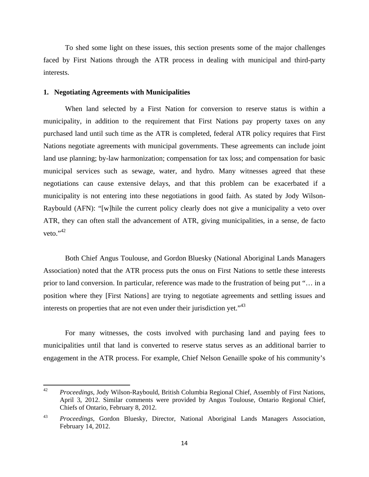To shed some light on these issues, this section presents some of the major challenges faced by First Nations through the ATR process in dealing with municipal and third-party interests.

#### **1. Negotiating Agreements with Municipalities**

 When land selected by a First Nation for conversion to reserve status is within a municipality, in addition to the requirement that First Nations pay property taxes on any purchased land until such time as the ATR is completed, federal ATR policy requires that First Nations negotiate agreements with municipal governments. These agreements can include joint land use planning; by-law harmonization; compensation for tax loss; and compensation for basic municipal services such as sewage, water, and hydro. Many witnesses agreed that these negotiations can cause extensive delays, and that this problem can be exacerbated if a municipality is not entering into these negotiations in good faith. As stated by Jody Wilson-Raybould (AFN): "[w]hile the current policy clearly does not give a municipality a veto over ATR, they can often stall the advancement of ATR, giving municipalities, in a sense, de facto veto." $42$ 

 Both Chief Angus Toulouse, and Gordon Bluesky (National Aboriginal Lands Managers Association) noted that the ATR process puts the onus on First Nations to settle these interests prior to land conversion. In particular, reference was made to the frustration of being put "… in a position where they [First Nations] are trying to negotiate agreements and settling issues and interests on properties that are not even under their jurisdiction yet."<sup>43</sup>

For many witnesses, the costs involved with purchasing land and paying fees to municipalities until that land is converted to reserve status serves as an additional barrier to engagement in the ATR process. For example, Chief Nelson Genaille spoke of his community's

<sup>42</sup> *Proceedings*, Jody Wilson-Raybould, British Columbia Regional Chief, Assembly of First Nations, April 3, 2012. Similar comments were provided by Angus Toulouse, Ontario Regional Chief, Chiefs of Ontario, February 8, 2012.

<sup>43</sup> *Proceedings*, Gordon Bluesky, Director, National Aboriginal Lands Managers Association, February 14, 2012.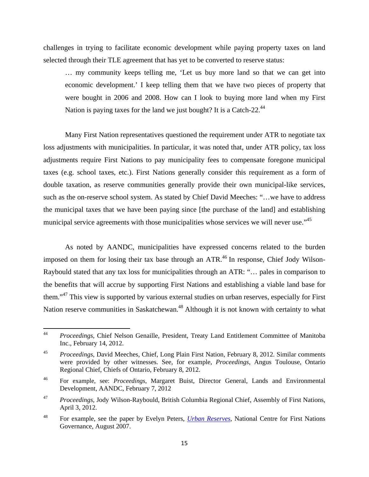challenges in trying to facilitate economic development while paying property taxes on land selected through their TLE agreement that has yet to be converted to reserve status:

… my community keeps telling me, 'Let us buy more land so that we can get into economic development.' I keep telling them that we have two pieces of property that were bought in 2006 and 2008. How can I look to buying more land when my First Nation is paying taxes for the land we just bought? It is a Catch-22.<sup>44</sup>

 Many First Nation representatives questioned the requirement under ATR to negotiate tax loss adjustments with municipalities. In particular, it was noted that, under ATR policy, tax loss adjustments require First Nations to pay municipality fees to compensate foregone municipal taxes (e.g. school taxes, etc.). First Nations generally consider this requirement as a form of double taxation, as reserve communities generally provide their own municipal-like services, such as the on-reserve school system. As stated by Chief David Meeches: "…we have to address the municipal taxes that we have been paying since [the purchase of the land] and establishing municipal service agreements with those municipalities whose services we will never use."<sup>45</sup>

 As noted by AANDC, municipalities have expressed concerns related to the burden imposed on them for losing their tax base through an  $ATR<sup>46</sup>$  In response, Chief Jody Wilson-Raybould stated that any tax loss for municipalities through an ATR: "… pales in comparison to the benefits that will accrue by supporting First Nations and establishing a viable land base for them."47 This view is supported by various external studies on urban reserves, especially for First Nation reserve communities in Saskatchewan.<sup>48</sup> Although it is not known with certainty to what

<sup>44</sup> *Proceedings*, Chief Nelson Genaille, President, Treaty Land Entitlement Committee of Manitoba Inc., February 14, 2012.

<sup>45</sup> *Proceedings*, David Meeches, Chief, Long Plain First Nation, February 8, 2012. Similar comments were provided by other witnesses. See, for example, *Proceedings*, Angus Toulouse, Ontario Regional Chief, Chiefs of Ontario, February 8, 2012.

<sup>46</sup> For example, see: *Proceedings*, Margaret Buist, Director General, Lands and Environmental Development, AANDC, February 7, 2012

<sup>47</sup> *Proceedings*, Jody Wilson-Raybould, British Columbia Regional Chief, Assembly of First Nations, April 3, 2012.

<sup>48</sup> For example, see the paper by Evelyn Peters, *Urban Reserves*, National Centre for First Nations Governance, August 2007.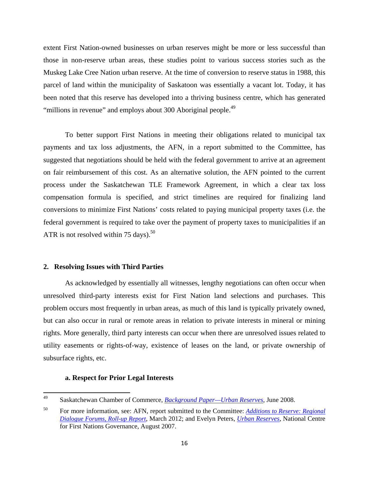extent First Nation-owned businesses on urban reserves might be more or less successful than those in non-reserve urban areas, these studies point to various success stories such as the Muskeg Lake Cree Nation urban reserve. At the time of conversion to reserve status in 1988, this parcel of land within the municipality of Saskatoon was essentially a vacant lot. Today, it has been noted that this reserve has developed into a thriving business centre, which has generated "millions in revenue" and employs about 300 Aboriginal people.<sup>49</sup>

 To better support First Nations in meeting their obligations related to municipal tax payments and tax loss adjustments, the AFN, in a report submitted to the Committee, has suggested that negotiations should be held with the federal government to arrive at an agreement on fair reimbursement of this cost. As an alternative solution, the AFN pointed to the current process under the Saskatchewan TLE Framework Agreement, in which a clear tax loss compensation formula is specified, and strict timelines are required for finalizing land conversions to minimize First Nations' costs related to paying municipal property taxes (i.e. the federal government is required to take over the payment of property taxes to municipalities if an ATR is not resolved within 75 days).<sup>50</sup>

#### **2. Resolving Issues with Third Parties**

 As acknowledged by essentially all witnesses, lengthy negotiations can often occur when unresolved third-party interests exist for First Nation land selections and purchases. This problem occurs most frequently in urban areas, as much of this land is typically privately owned, but can also occur in rural or remote areas in relation to private interests in mineral or mining rights. More generally, third party interests can occur when there are unresolved issues related to utility easements or rights-of-way, existence of leases on the land, or private ownership of subsurface rights, etc.

#### **a. Respect for Prior Legal Interests**

<sup>49</sup> Saskatchewan Chamber of Commerce, *Background Paper—Urban Reserves*, June 2008.

<sup>50</sup> For more information, see: AFN, report submitted to the Committee: *Additions to Reserve: Regional Dialogue Forums, Roll-up Report*, March 2012; and Evelyn Peters, *Urban Reserves*, National Centre for First Nations Governance, August 2007.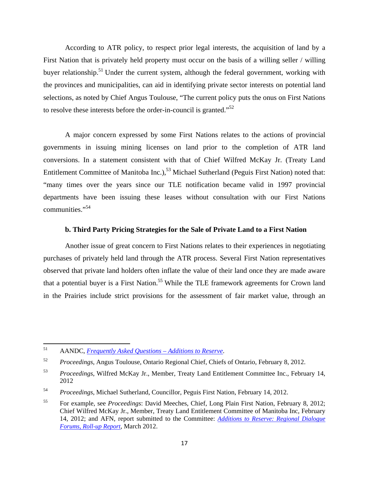According to ATR policy, to respect prior legal interests, the acquisition of land by a First Nation that is privately held property must occur on the basis of a willing seller / willing buver relationship.<sup>51</sup> Under the current system, although the federal government, working with the provinces and municipalities, can aid in identifying private sector interests on potential land selections, as noted by Chief Angus Toulouse, "The current policy puts the onus on First Nations to resolve these interests before the order-in-council is granted."52

 A major concern expressed by some First Nations relates to the actions of provincial governments in issuing mining licenses on land prior to the completion of ATR land conversions. In a statement consistent with that of Chief Wilfred McKay Jr. (Treaty Land Entitlement Committee of Manitoba Inc.),<sup>53</sup> Michael Sutherland (Peguis First Nation) noted that: "many times over the years since our TLE notification became valid in 1997 provincial departments have been issuing these leases without consultation with our First Nations communities."54

#### **b. Third Party Pricing Strategies for the Sale of Private Land to a First Nation**

 Another issue of great concern to First Nations relates to their experiences in negotiating purchases of privately held land through the ATR process. Several First Nation representatives observed that private land holders often inflate the value of their land once they are made aware that a potential buyer is a First Nation.<sup>55</sup> While the TLE framework agreements for Crown land in the Prairies include strict provisions for the assessment of fair market value, through an

<sup>51</sup> AANDC, *Frequently Asked Questions – Additions to Reserve*.

<sup>52</sup> *Proceedings*, Angus Toulouse, Ontario Regional Chief, Chiefs of Ontario, February 8, 2012.

<sup>53</sup> *Proceedings*, Wilfred McKay Jr., Member, Treaty Land Entitlement Committee Inc., February 14, 2012

<sup>54</sup>*Proceedings*, Michael Sutherland, Councillor, Peguis First Nation, February 14, 2012.

<sup>55</sup> For example, see *Proceedings*: David Meeches, Chief, Long Plain First Nation, February 8, 2012; Chief Wilfred McKay Jr., Member, Treaty Land Entitlement Committee of Manitoba Inc, February 14, 2012; and AFN, report submitted to the Committee: *Additions to Reserve: Regional Dialogue Forums, Roll-up Report*, March 2012.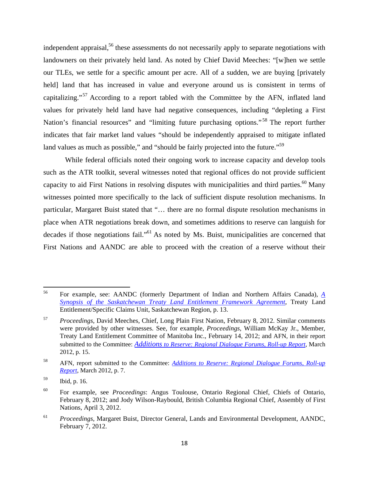independent appraisal,<sup>56</sup> these assessments do not necessarily apply to separate negotiations with landowners on their privately held land. As noted by Chief David Meeches: "[w]hen we settle our TLEs, we settle for a specific amount per acre. All of a sudden, we are buying [privately held] land that has increased in value and everyone around us is consistent in terms of capitalizing."<sup>57</sup> According to a report tabled with the Committee by the AFN, inflated land values for privately held land have had negative consequences, including "depleting a First Nation's financial resources" and "limiting future purchasing options."<sup>58</sup> The report further indicates that fair market land values "should be independently appraised to mitigate inflated land values as much as possible," and "should be fairly projected into the future."<sup>59</sup>

 While federal officials noted their ongoing work to increase capacity and develop tools such as the ATR toolkit, several witnesses noted that regional offices do not provide sufficient capacity to aid First Nations in resolving disputes with municipalities and third parties.<sup>60</sup> Many witnesses pointed more specifically to the lack of sufficient dispute resolution mechanisms. In particular, Margaret Buist stated that "… there are no formal dispute resolution mechanisms in place when ATR negotiations break down, and sometimes additions to reserve can languish for decades if those negotiations fail."<sup>61</sup> As noted by Ms. Buist, municipalities are concerned that First Nations and AANDC are able to proceed with the creation of a reserve without their

<sup>56</sup> For example, see: AANDC (formerly Department of Indian and Northern Affairs Canada), *A Synopsis of the Saskatchewan Treaty Land Entitlement Framework Agreement*, Treaty Land Entitlement/Specific Claims Unit, Saskatchewan Region, p. 13.

<sup>57</sup> *Proceedings*, David Meeches, Chief, Long Plain First Nation, February 8, 2012. Similar comments were provided by other witnesses. See, for example, *Proceedings*, William McKay Jr., Member, Treaty Land Entitlement Committee of Manitoba Inc., February 14, 2012; and AFN, in their report submitted to the Committee: *Additions to Reserve: Regional Dialogue Forums, Roll-up Report*, March 2012, p. 15.

<sup>58</sup> AFN, report submitted to the Committee: *Additions to Reserve: Regional Dialogue Forums, Roll-up Report*, March 2012, p. 7.

<sup>59</sup> Ibid, p. 16.

<sup>60</sup> For example, see *Proceedings*: Angus Toulouse, Ontario Regional Chief, Chiefs of Ontario, February 8, 2012; and Jody Wilson-Raybould, British Columbia Regional Chief, Assembly of First Nations, April 3, 2012.

<sup>61</sup>*Proceedings*, Margaret Buist, Director General, Lands and Environmental Development, AANDC, February 7, 2012.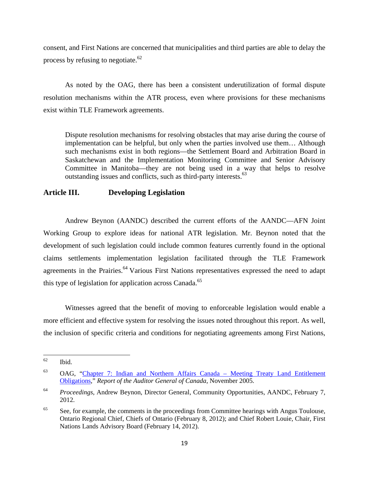consent, and First Nations are concerned that municipalities and third parties are able to delay the process by refusing to negotiate. $62$ 

 As noted by the OAG, there has been a consistent underutilization of formal dispute resolution mechanisms within the ATR process, even where provisions for these mechanisms exist within TLE Framework agreements.

Dispute resolution mechanisms for resolving obstacles that may arise during the course of implementation can be helpful, but only when the parties involved use them… Although such mechanisms exist in both regions—the Settlement Board and Arbitration Board in Saskatchewan and the Implementation Monitoring Committee and Senior Advisory Committee in Manitoba—they are not being used in a way that helps to resolve outstanding issues and conflicts, such as third-party interests.<sup>63</sup>

## **Article III. Developing Legislation**

 Andrew Beynon (AANDC) described the current efforts of the AANDC—AFN Joint Working Group to explore ideas for national ATR legislation. Mr. Beynon noted that the development of such legislation could include common features currently found in the optional claims settlements implementation legislation facilitated through the TLE Framework agreements in the Prairies.<sup>64</sup> Various First Nations representatives expressed the need to adapt this type of legislation for application across Canada.<sup>65</sup>

 Witnesses agreed that the benefit of moving to enforceable legislation would enable a more efficient and effective system for resolving the issues noted throughout this report. As well, the inclusion of specific criteria and conditions for negotiating agreements among First Nations,

 $62$  Ibid.

<sup>63</sup> OAG, "Chapter 7: Indian and Northern Affairs Canada – Meeting Treaty Land Entitlement Obligations," *Report of the Auditor General of Canada*, November 2005.

<sup>64</sup>*Proceedings*, Andrew Beynon, Director General, Community Opportunities, AANDC, February 7, 2012.

 $65$  See, for example, the comments in the proceedings from Committee hearings with Angus Toulouse, Ontario Regional Chief, Chiefs of Ontario (February 8, 2012); and Chief Robert Louie, Chair, First Nations Lands Advisory Board (February 14, 2012).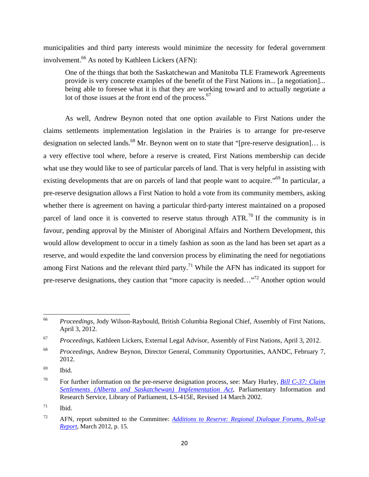municipalities and third party interests would minimize the necessity for federal government involvement.<sup>66</sup> As noted by Kathleen Lickers (AFN):

One of the things that both the Saskatchewan and Manitoba TLE Framework Agreements provide is very concrete examples of the benefit of the First Nations in... [a negotiation]... being able to foresee what it is that they are working toward and to actually negotiate a lot of those issues at the front end of the process.<sup>67</sup>

As well, Andrew Beynon noted that one option available to First Nations under the claims settlements implementation legislation in the Prairies is to arrange for pre-reserve designation on selected lands.<sup>68</sup> Mr. Beynon went on to state that "[pre-reserve designation]... is a very effective tool where, before a reserve is created, First Nations membership can decide what use they would like to see of particular parcels of land. That is very helpful in assisting with existing developments that are on parcels of land that people want to acquire."<sup>69</sup> In particular, a pre-reserve designation allows a First Nation to hold a vote from its community members, asking whether there is agreement on having a particular third-party interest maintained on a proposed parcel of land once it is converted to reserve status through  $ATR$ .<sup>70</sup> If the community is in favour, pending approval by the Minister of Aboriginal Affairs and Northern Development, this would allow development to occur in a timely fashion as soon as the land has been set apart as a reserve, and would expedite the land conversion process by eliminating the need for negotiations among First Nations and the relevant third party.<sup>71</sup> While the AFN has indicated its support for pre-reserve designations, they caution that "more capacity is needed..."<sup>72</sup> Another option would

<sup>66</sup> *Proceedings*, Jody Wilson-Raybould, British Columbia Regional Chief, Assembly of First Nations, April 3, 2012.

<sup>67</sup> *Proceedings*, Kathleen Lickers, External Legal Advisor, Assembly of First Nations, April 3, 2012.

<sup>68</sup> *Proceedings*, Andrew Beynon, Director General, Community Opportunities, AANDC, February 7, 2012.

 $^{69}$  Ibid.

<sup>70</sup> For further information on the pre-reserve designation process, see: Mary Hurley, *Bill C-37: Claim Settlements (Alberta and Saskatchewan) Implementation Act*, Parliamentary Information and Research Service, Library of Parliament, LS-415E, Revised 14 March 2002.

 $71$  Ibid.

<sup>72</sup> AFN, report submitted to the Committee: *Additions to Reserve: Regional Dialogue Forums, Roll-up Report*, March 2012, p. 15.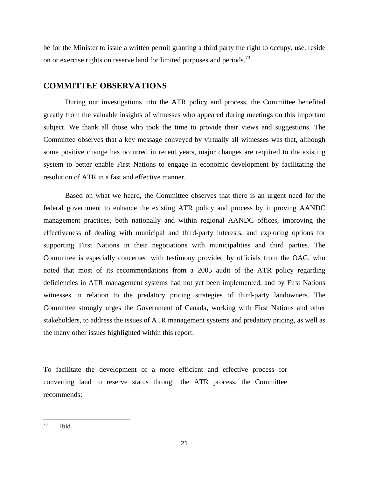be for the Minister to issue a written permit granting a third party the right to occupy, use, reside on or exercise rights on reserve land for limited purposes and periods.<sup>73</sup>

## **COMMITTEE OBSERVATIONS**

 During our investigations into the ATR policy and process, the Committee benefited greatly from the valuable insights of witnesses who appeared during meetings on this important subject. We thank all those who took the time to provide their views and suggestions. The Committee observes that a key message conveyed by virtually all witnesses was that, although some positive change has occurred in recent years, major changes are required to the existing system to better enable First Nations to engage in economic development by facilitating the resolution of ATR in a fast and effective manner.

 Based on what we heard, the Committee observes that there is an urgent need for the federal government to enhance the existing ATR policy and process by improving AANDC management practices, both nationally and within regional AANDC offices, improving the effectiveness of dealing with municipal and third-party interests, and exploring options for supporting First Nations in their negotiations with municipalities and third parties. The Committee is especially concerned with testimony provided by officials from the OAG, who noted that most of its recommendations from a 2005 audit of the ATR policy regarding deficiencies in ATR management systems had not yet been implemented, and by First Nations witnesses in relation to the predatory pricing strategies of third-party landowners. The Committee strongly urges the Government of Canada, working with First Nations and other stakeholders, to address the issues of ATR management systems and predatory pricing, as well as the many other issues highlighted within this report.

To facilitate the development of a more efficient and effective process for converting land to reserve status through the ATR process, the Committee recommends:

 $^{73}$  Ibid.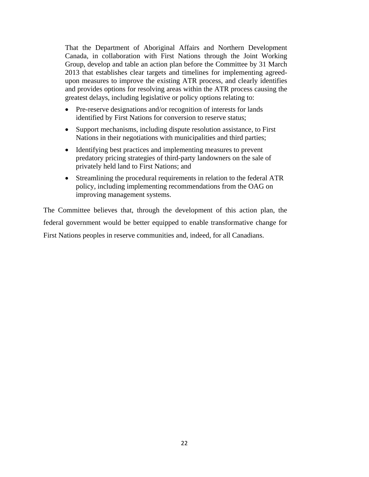That the Department of Aboriginal Affairs and Northern Development Canada, in collaboration with First Nations through the Joint Working Group, develop and table an action plan before the Committee by 31 March 2013 that establishes clear targets and timelines for implementing agreedupon measures to improve the existing ATR process, and clearly identifies and provides options for resolving areas within the ATR process causing the greatest delays, including legislative or policy options relating to:

- Pre-reserve designations and/or recognition of interests for lands identified by First Nations for conversion to reserve status;
- Support mechanisms, including dispute resolution assistance, to First Nations in their negotiations with municipalities and third parties;
- Identifying best practices and implementing measures to prevent predatory pricing strategies of third-party landowners on the sale of privately held land to First Nations; and
- Streamlining the procedural requirements in relation to the federal ATR policy, including implementing recommendations from the OAG on improving management systems.

The Committee believes that, through the development of this action plan, the federal government would be better equipped to enable transformative change for First Nations peoples in reserve communities and, indeed, for all Canadians.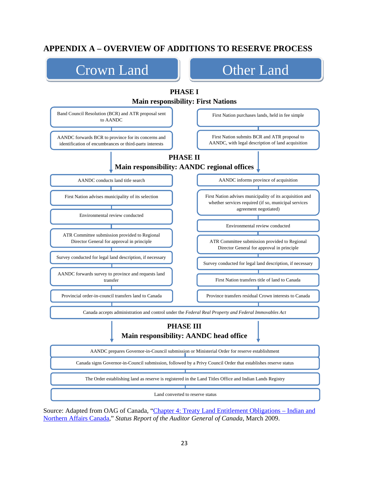# **APPENDIX A – OVERVIEW OF ADDITIONS TO RESERVE PROCESS**



Source: Adapted from OAG of Canada, "Chapter 4: Treaty Land Entitlement Obligations – Indian and Northern Affairs Canada," *Status Report of the Auditor General of Canada*, March 2009.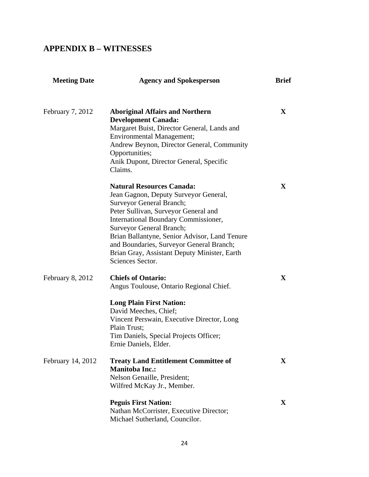# **APPENDIX B – WITNESSES**

| <b>Meeting Date</b> | <b>Agency and Spokesperson</b>                                                                                                                                                                                                                                                                                                                                                            | <b>Brief</b> |
|---------------------|-------------------------------------------------------------------------------------------------------------------------------------------------------------------------------------------------------------------------------------------------------------------------------------------------------------------------------------------------------------------------------------------|--------------|
| February 7, 2012    | <b>Aboriginal Affairs and Northern</b><br><b>Development Canada:</b><br>Margaret Buist, Director General, Lands and<br><b>Environmental Management;</b><br>Andrew Beynon, Director General, Community<br>Opportunities;<br>Anik Dupont, Director General, Specific<br>Claims.                                                                                                             | $\mathbf{X}$ |
|                     | <b>Natural Resources Canada:</b><br>Jean Gagnon, Deputy Surveyor General,<br><b>Surveyor General Branch;</b><br>Peter Sullivan, Surveyor General and<br>International Boundary Commissioner,<br>Surveyor General Branch;<br>Brian Ballantyne, Senior Advisor, Land Tenure<br>and Boundaries, Surveyor General Branch;<br>Brian Gray, Assistant Deputy Minister, Earth<br>Sciences Sector. | X            |
| February 8, 2012    | <b>Chiefs of Ontario:</b><br>Angus Toulouse, Ontario Regional Chief.<br><b>Long Plain First Nation:</b><br>David Meeches, Chief;<br>Vincent Perswain, Executive Director, Long<br>Plain Trust;<br>Tim Daniels, Special Projects Officer;<br>Ernie Daniels, Elder.                                                                                                                         | $\mathbf{X}$ |
| February 14, 2012   | <b>Treaty Land Entitlement Committee of</b><br><b>Manitoba Inc.:</b><br>Nelson Genaille, President;<br>Wilfred McKay Jr., Member.                                                                                                                                                                                                                                                         | $\mathbf X$  |
|                     | <b>Peguis First Nation:</b><br>Nathan McCorrister, Executive Director;<br>Michael Sutherland, Councilor.                                                                                                                                                                                                                                                                                  | $\mathbf X$  |